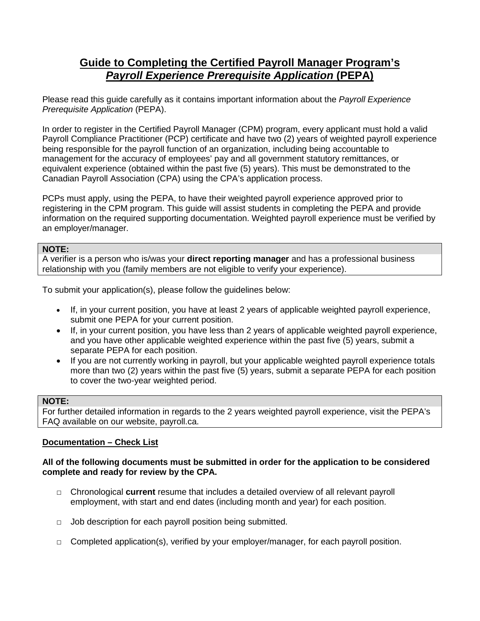# **Guide to Completing the Certified Payroll Manager Program's**  *Payroll Experience Prerequisite Application* **(PEPA)**

Please read this guide carefully as it contains important information about the *Payroll Experience Prerequisite Application* (PEPA).

In order to register in the Certified Payroll Manager (CPM) program, every applicant must hold a valid Payroll Compliance Practitioner (PCP) certificate and have two (2) years of weighted payroll experience being responsible for the payroll function of an organization, including being accountable to management for the accuracy of employees' pay and all government statutory remittances, or equivalent experience (obtained within the past five (5) years). This must be demonstrated to the Canadian Payroll Association (CPA) using the CPA's application process.

PCPs must apply, using the PEPA, to have their weighted payroll experience approved prior to registering in the CPM program. This guide will assist students in completing the PEPA and provide information on the required supporting documentation. Weighted payroll experience must be verified by an employer/manager.

#### **NOTE:**

A verifier is a person who is/was your **direct reporting manager** and has a professional business relationship with you (family members are not eligible to verify your experience).

To submit your application(s), please follow the guidelines below:

- If, in your current position, you have at least 2 years of applicable weighted payroll experience, submit one PEPA for your current position.
- If, in your current position, you have less than 2 years of applicable weighted payroll experience, and you have other applicable weighted experience within the past five (5) years, submit a separate PEPA for each position.
- If you are not currently working in payroll, but your applicable weighted payroll experience totals more than two (2) years within the past five (5) years, submit a separate PEPA for each position to cover the two-year weighted period.

#### **NOTE:**

For further detailed information in regards to the 2 years weighted payroll experience, visit the PEPA's FAQ available on our website, payroll.ca.

## **Documentation – Check List**

#### **All of the following documents must be submitted in order for the application to be considered complete and ready for review by the CPA.**

- □ Chronological **current** resume that includes a detailed overview of all relevant payroll employment, with start and end dates (including month and year) for each position.
- □ Job description for each payroll position being submitted.
- $\Box$  Completed application(s), verified by your employer/manager, for each payroll position.